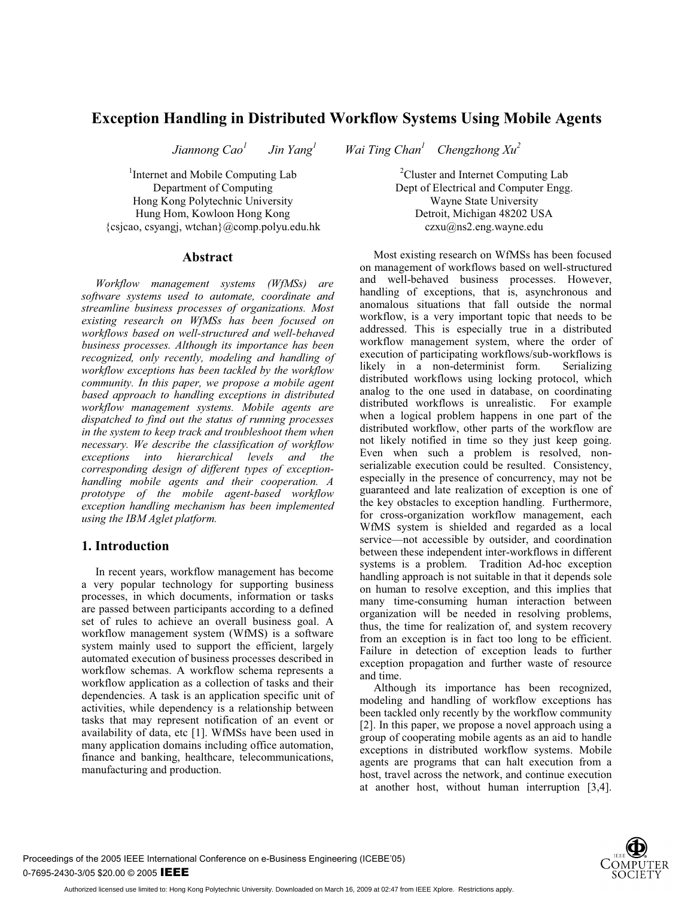# **Exception Handling in Distributed Workflow Systems Using Mobile Agents**

*Jiannong Cao<sup>1</sup> Jin Yang<sup>1</sup>*

<sup>1</sup>Internet and Mobile Computing Lab<sup>2</sup> Hong Kong Polytechnic University Wayne State University Hung Hom, Kowloon Hong Kong  $D$ etroit, Michigan 48202 USA<br>
o. csvangi, wtchan} @comp.polyu.edu.hk czxu@ns2.eng.wayne.edu  ${c}sicao, csvangi, wtchan$  $@comp.polyu.edu.hk$ 

#### **Abstract**

*Workflow management systems (WfMSs) are software systems used to automate, coordinate and streamline business processes of organizations. Most existing research on WfMSs has been focused on workflows based on well-structured and well-behaved business processes. Although its importance has been recognized, only recently, modeling and handling of workflow exceptions has been tackled by the workflow community. In this paper, we propose a mobile agent based approach to handling exceptions in distributed workflow management systems. Mobile agents are dispatched to find out the status of running processes in the system to keep track and troubleshoot them when necessary. We describe the classification of workflow exceptions into hierarchical levels and the corresponding design of different types of exceptionhandling mobile agents and their cooperation. A prototype of the mobile agent-based workflow exception handling mechanism has been implemented using the IBM Aglet platform.* 

## **1. Introduction**

In recent years, workflow management has become a very popular technology for supporting business processes, in which documents, information or tasks are passed between participants according to a defined set of rules to achieve an overall business goal. A workflow management system (WfMS) is a software system mainly used to support the efficient, largely automated execution of business processes described in workflow schemas. A workflow schema represents a workflow application as a collection of tasks and their dependencies. A task is an application specific unit of activities, while dependency is a relationship between tasks that may represent notification of an event or availability of data, etc [1]. WfMSs have been used in many application domains including office automation, finance and banking, healthcare, telecommunications, manufacturing and production.

 *Wai Ting Chan<sup>1</sup> Chengzhong Xu2*

<sup>2</sup>Cluster and Internet Computing Lab Department of Computing Dept of Electrical and Computer Engg.

> Most existing research on WfMSs has been focused on management of workflows based on well-structured and well-behaved business processes. However, handling of exceptions, that is, asynchronous and anomalous situations that fall outside the normal workflow, is a very important topic that needs to be addressed. This is especially true in a distributed workflow management system, where the order of execution of participating workflows/sub-workflows is<br>likely in a non-determinist form. Serializing likely in a non-determinist form. distributed workflows using locking protocol, which analog to the one used in database, on coordinating distributed workflows is unrealistic. For example when a logical problem happens in one part of the distributed workflow, other parts of the workflow are not likely notified in time so they just keep going. Even when such a problem is resolved, nonserializable execution could be resulted. Consistency, especially in the presence of concurrency, may not be guaranteed and late realization of exception is one of the key obstacles to exception handling. Furthermore, for cross-organization workflow management, each WfMS system is shielded and regarded as a local service—not accessible by outsider, and coordination between these independent inter-workflows in different systems is a problem. Tradition Ad-hoc exception handling approach is not suitable in that it depends sole on human to resolve exception, and this implies that many time-consuming human interaction between organization will be needed in resolving problems, thus, the time for realization of, and system recovery from an exception is in fact too long to be efficient. Failure in detection of exception leads to further exception propagation and further waste of resource and time.

> Although its importance has been recognized, modeling and handling of workflow exceptions has been tackled only recently by the workflow community [2]. In this paper, we propose a novel approach using a group of cooperating mobile agents as an aid to handle exceptions in distributed workflow systems. Mobile agents are programs that can halt execution from a host, travel across the network, and continue execution at another host, without human interruption [3,4].

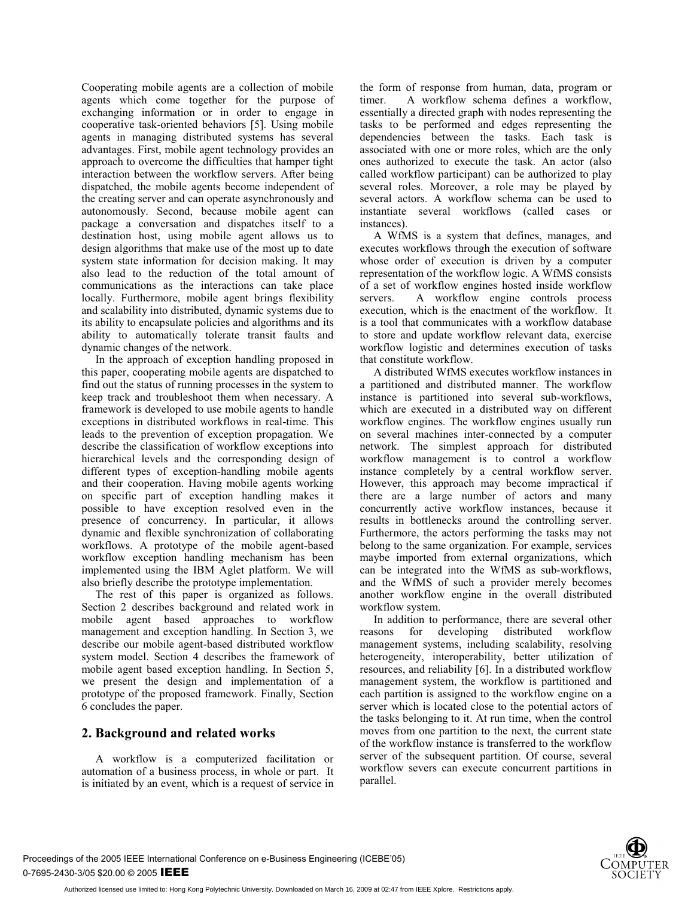Cooperating mobile agents are a collection of mobile agents which come together for the purpose of exchanging information or in order to engage in cooperative task-oriented behaviors [5]. Using mobile agents in managing distributed systems has several advantages. First, mobile agent technology provides an approach to overcome the difficulties that hamper tight interaction between the workflow servers. After being dispatched, the mobile agents become independent of the creating server and can operate asynchronously and autonomously. Second, because mobile agent can package a conversation and dispatches itself to a destination host, using mobile agent allows us to design algorithms that make use of the most up to date system state information for decision making. It may also lead to the reduction of the total amount of communications as the interactions can take place locally. Furthermore, mobile agent brings flexibility and scalability into distributed, dynamic systems due to its ability to encapsulate policies and algorithms and its ability to automatically tolerate transit faults and dynamic changes of the network.

In the approach of exception handling proposed in this paper, cooperating mobile agents are dispatched to find out the status of running processes in the system to keep track and troubleshoot them when necessary. A framework is developed to use mobile agents to handle exceptions in distributed workflows in real-time. This leads to the prevention of exception propagation. We describe the classification of workflow exceptions into hierarchical levels and the corresponding design of different types of exception-handling mobile agents and their cooperation. Having mobile agents working on specific part of exception handling makes it possible to have exception resolved even in the presence of concurrency. In particular, it allows dynamic and flexible synchronization of collaborating workflows. A prototype of the mobile agent-based workflow exception handling mechanism has been implemented using the IBM Aglet platform. We will also briefly describe the prototype implementation.

The rest of this paper is organized as follows. Section 2 describes background and related work in mobile agent based approaches to workflow management and exception handling. In Section 3, we describe our mobile agent-based distributed workflow system model. Section 4 describes the framework of mobile agent based exception handling. In Section 5, we present the design and implementation of a prototype of the proposed framework. Finally, Section 6 concludes the paper.

## **2. Background and related works**

A workflow is a computerized facilitation or automation of a business process, in whole or part. It is initiated by an event, which is a request of service in the form of response from human, data, program or timer. A workflow schema defines a workflow, essentially a directed graph with nodes representing the tasks to be performed and edges representing the dependencies between the tasks. Each task is associated with one or more roles, which are the only ones authorized to execute the task. An actor (also called workflow participant) can be authorized to play several roles. Moreover, a role may be played by several actors. A workflow schema can be used to instantiate several workflows (called cases or instances).

A WfMS is a system that defines, manages, and executes workflows through the execution of software whose order of execution is driven by a computer representation of the workflow logic. A WfMS consists of a set of workflow engines hosted inside workflow servers. A workflow engine controls process execution, which is the enactment of the workflow. It is a tool that communicates with a workflow database to store and update workflow relevant data, exercise workflow logistic and determines execution of tasks that constitute workflow.

A distributed WfMS executes workflow instances in a partitioned and distributed manner. The workflow instance is partitioned into several sub-workflows, which are executed in a distributed way on different workflow engines. The workflow engines usually run on several machines inter-connected by a computer network. The simplest approach for distributed workflow management is to control a workflow instance completely by a central workflow server. However, this approach may become impractical if there are a large number of actors and many concurrently active workflow instances, because it results in bottlenecks around the controlling server. Furthermore, the actors performing the tasks may not belong to the same organization. For example, services maybe imported from external organizations, which can be integrated into the WfMS as sub-workflows, and the WfMS of such a provider merely becomes another workflow engine in the overall distributed workflow system.

In addition to performance, there are several other reasons for developing distributed workflow management systems, including scalability, resolving heterogeneity, interoperability, better utilization of resources, and reliability [6]. In a distributed workflow management system, the workflow is partitioned and each partition is assigned to the workflow engine on a server which is located close to the potential actors of the tasks belonging to it. At run time, when the control moves from one partition to the next, the current state of the workflow instance is transferred to the workflow server of the subsequent partition. Of course, several workflow severs can execute concurrent partitions in parallel.



Proceedings of the 2005 IEEE International Conference on e-Business Engineering (ICEBE'05) 0-7695-2430-3/05 \$20.00 © 2005 IEEE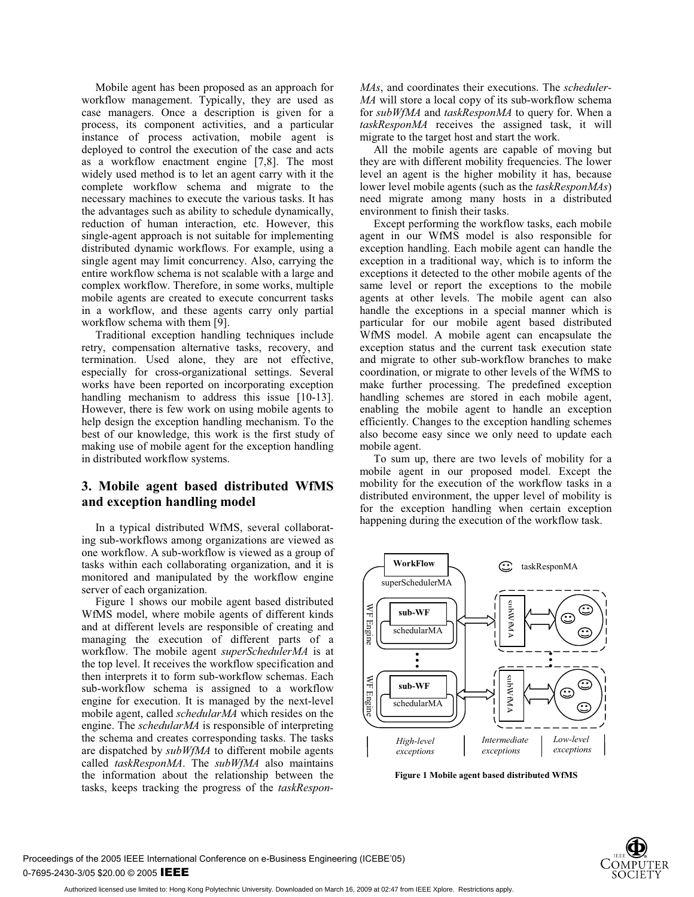Mobile agent has been proposed as an approach for workflow management. Typically, they are used as case managers. Once a description is given for a process, its component activities, and a particular instance of process activation, mobile agent is deployed to control the execution of the case and acts as a workflow enactment engine [7,8]. The most widely used method is to let an agent carry with it the complete workflow schema and migrate to the necessary machines to execute the various tasks. It has the advantages such as ability to schedule dynamically, reduction of human interaction, etc. However, this single-agent approach is not suitable for implementing distributed dynamic workflows. For example, using a single agent may limit concurrency. Also, carrying the entire workflow schema is not scalable with a large and complex workflow. Therefore, in some works, multiple mobile agents are created to execute concurrent tasks in a workflow, and these agents carry only partial workflow schema with them [9].

Traditional exception handling techniques include retry, compensation alternative tasks, recovery, and termination. Used alone, they are not effective, especially for cross-organizational settings. Several works have been reported on incorporating exception handling mechanism to address this issue [10-13]. However, there is few work on using mobile agents to help design the exception handling mechanism. To the best of our knowledge, this work is the first study of making use of mobile agent for the exception handling in distributed workflow systems.

## **3. Mobile agent based distributed WfMS and exception handling model**

In a typical distributed WfMS, several collaborating sub-workflows among organizations are viewed as one workflow. A sub-workflow is viewed as a group of tasks within each collaborating organization, and it is monitored and manipulated by the workflow engine server of each organization.

Figure 1 shows our mobile agent based distributed WfMS model, where mobile agents of different kinds and at different levels are responsible of creating and managing the execution of different parts of a workflow. The mobile agent *superSchedulerMA* is at the top level. It receives the workflow specification and then interprets it to form sub-workflow schemas. Each sub-workflow schema is assigned to a workflow engine for execution. It is managed by the next-level mobile agent, called *schedularMA* which resides on the engine. The *schedularMA* is responsible of interpreting the schema and creates corresponding tasks. The tasks are dispatched by *subWfMA* to different mobile agents called *taskResponMA*. The *subWfMA* also maintains the information about the relationship between the tasks, keeps tracking the progress of the *taskRespon-* *MAs*, and coordinates their executions. The *scheduler-MA* will store a local copy of its sub-workflow schema for *subWfMA* and *taskResponMA* to query for. When a *taskResponMA* receives the assigned task, it will migrate to the target host and start the work.

All the mobile agents are capable of moving but they are with different mobility frequencies. The lower level an agent is the higher mobility it has, because lower level mobile agents (such as the *taskResponMAs*) need migrate among many hosts in a distributed environment to finish their tasks.

Except performing the workflow tasks, each mobile agent in our WfMS model is also responsible for exception handling. Each mobile agent can handle the exception in a traditional way, which is to inform the exceptions it detected to the other mobile agents of the same level or report the exceptions to the mobile agents at other levels. The mobile agent can also handle the exceptions in a special manner which is particular for our mobile agent based distributed WfMS model. A mobile agent can encapsulate the exception status and the current task execution state and migrate to other sub-workflow branches to make coordination, or migrate to other levels of the WfMS to make further processing. The predefined exception handling schemes are stored in each mobile agent, enabling the mobile agent to handle an exception efficiently. Changes to the exception handling schemes also become easy since we only need to update each mobile agent.

To sum up, there are two levels of mobility for a mobile agent in our proposed model. Except the mobility for the execution of the workflow tasks in a distributed environment, the upper level of mobility is for the exception handling when certain exception happening during the execution of the workflow task.



**Figure 1 Mobile agent based distributed WfMS** 

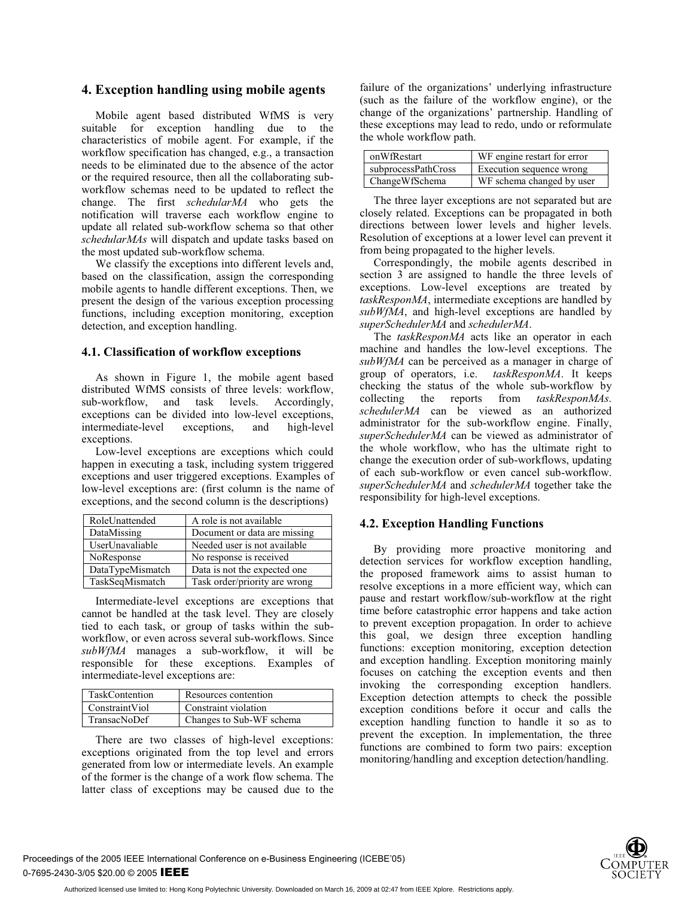### **4. Exception handling using mobile agents**

Mobile agent based distributed WfMS is very suitable for exception handling due to the characteristics of mobile agent. For example, if the workflow specification has changed, e.g., a transaction needs to be eliminated due to the absence of the actor or the required resource, then all the collaborating subworkflow schemas need to be updated to reflect the change. The first *schedularMA* who gets the notification will traverse each workflow engine to update all related sub-workflow schema so that other *schedularMAs* will dispatch and update tasks based on the most updated sub-workflow schema.

We classify the exceptions into different levels and, based on the classification, assign the corresponding mobile agents to handle different exceptions. Then, we present the design of the various exception processing functions, including exception monitoring, exception detection, and exception handling.

### **4.1. Classification of workflow exceptions**

As shown in Figure 1, the mobile agent based distributed WfMS consists of three levels: workflow, sub-workflow, and task levels. Accordingly, exceptions can be divided into low-level exceptions, intermediate-level exceptions, and high-level exceptions.

Low-level exceptions are exceptions which could happen in executing a task, including system triggered exceptions and user triggered exceptions. Examples of low-level exceptions are: (first column is the name of exceptions, and the second column is the descriptions)

| RoleUnattended   | A role is not available       |  |
|------------------|-------------------------------|--|
| DataMissing      | Document or data are missing  |  |
| UserUnavaliable  | Needed user is not available  |  |
| NoResponse       | No response is received.      |  |
| DataTypeMismatch | Data is not the expected one. |  |
| TaskSeqMismatch  | Task order/priority are wrong |  |

Intermediate-level exceptions are exceptions that cannot be handled at the task level. They are closely tied to each task, or group of tasks within the subworkflow, or even across several sub-workflows. Since *subWfMA* manages a sub-workflow, it will be responsible for these exceptions. Examples of intermediate-level exceptions are:

| TaskContention | Resources contention     |
|----------------|--------------------------|
| ConstraintViol | Constraint violation     |
| TransacNoDef   | Changes to Sub-WF schema |

There are two classes of high-level exceptions: exceptions originated from the top level and errors generated from low or intermediate levels. An example of the former is the change of a work flow schema. The latter class of exceptions may be caused due to the

failure of the organizations' underlying infrastructure (such as the failure of the workflow engine), or the change of the organizations' partnership. Handling of these exceptions may lead to redo, undo or reformulate the whole workflow path.

| onWfRestart         | WF engine restart for error |  |
|---------------------|-----------------------------|--|
| subprocessPathCross | Execution sequence wrong    |  |
| ChangeWfSchema      | WF schema changed by user   |  |

The three layer exceptions are not separated but are closely related. Exceptions can be propagated in both directions between lower levels and higher levels. Resolution of exceptions at a lower level can prevent it from being propagated to the higher levels.

Correspondingly, the mobile agents described in section 3 are assigned to handle the three levels of exceptions. Low-level exceptions are treated by *taskResponMA*, intermediate exceptions are handled by *subWfMA*, and high-level exceptions are handled by *superSchedulerMA* and *schedulerMA*.

The *taskResponMA* acts like an operator in each machine and handles the low-level exceptions. The *subWfMA* can be perceived as a manager in charge of group of operators, i.e. *taskResponMA*. It keeps checking the status of the whole sub-workflow by collecting the reports from *taskResponMAs*. *schedulerMA* can be viewed as an authorized administrator for the sub-workflow engine. Finally, *superSchedulerMA* can be viewed as administrator of the whole workflow, who has the ultimate right to change the execution order of sub-workflows, updating of each sub-workflow or even cancel sub-workflow. *superSchedulerMA* and *schedulerMA* together take the responsibility for high-level exceptions.

### **4.2. Exception Handling Functions**

By providing more proactive monitoring and detection services for workflow exception handling, the proposed framework aims to assist human to resolve exceptions in a more efficient way, which can pause and restart workflow/sub-workflow at the right time before catastrophic error happens and take action to prevent exception propagation. In order to achieve this goal, we design three exception handling functions: exception monitoring, exception detection and exception handling. Exception monitoring mainly focuses on catching the exception events and then invoking the corresponding exception handlers. Exception detection attempts to check the possible exception conditions before it occur and calls the exception handling function to handle it so as to prevent the exception. In implementation, the three functions are combined to form two pairs: exception monitoring/handling and exception detection/handling.

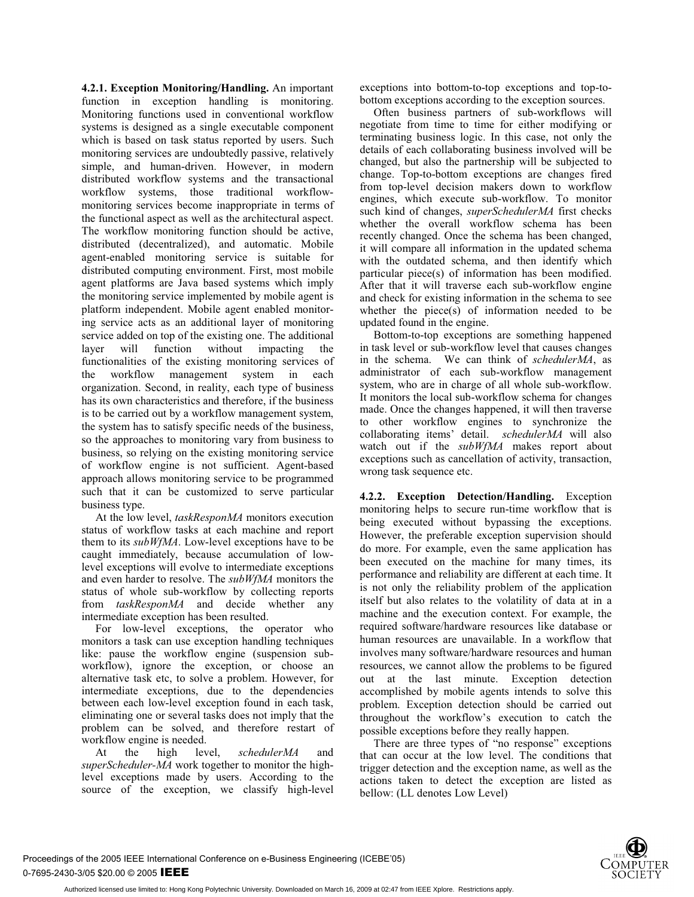**4.2.1. Exception Monitoring/Handling.** An important function in exception handling is monitoring. Monitoring functions used in conventional workflow systems is designed as a single executable component which is based on task status reported by users. Such monitoring services are undoubtedly passive, relatively simple, and human-driven. However, in modern distributed workflow systems and the transactional workflow systems, those traditional workflowmonitoring services become inappropriate in terms of the functional aspect as well as the architectural aspect. The workflow monitoring function should be active, distributed (decentralized), and automatic. Mobile agent-enabled monitoring service is suitable for distributed computing environment. First, most mobile agent platforms are Java based systems which imply the monitoring service implemented by mobile agent is platform independent. Mobile agent enabled monitoring service acts as an additional layer of monitoring service added on top of the existing one. The additional layer will function without impacting the functionalities of the existing monitoring services of the workflow management system in each organization. Second, in reality, each type of business has its own characteristics and therefore, if the business is to be carried out by a workflow management system, the system has to satisfy specific needs of the business, so the approaches to monitoring vary from business to business, so relying on the existing monitoring service of workflow engine is not sufficient. Agent-based approach allows monitoring service to be programmed such that it can be customized to serve particular business type.

At the low level, *taskResponMA* monitors execution status of workflow tasks at each machine and report them to its *subWfMA*. Low-level exceptions have to be caught immediately, because accumulation of lowlevel exceptions will evolve to intermediate exceptions and even harder to resolve. The *subWfMA* monitors the status of whole sub-workflow by collecting reports from *taskResponMA* and decide whether any intermediate exception has been resulted.

For low-level exceptions, the operator who monitors a task can use exception handling techniques like: pause the workflow engine (suspension subworkflow), ignore the exception, or choose an alternative task etc, to solve a problem. However, for intermediate exceptions, due to the dependencies between each low-level exception found in each task, eliminating one or several tasks does not imply that the problem can be solved, and therefore restart of workflow engine is needed.<br>At the high lev

At the high level, *schedulerMA* and *superScheduler-MA* work together to monitor the highlevel exceptions made by users. According to the source of the exception, we classify high-level exceptions into bottom-to-top exceptions and top-tobottom exceptions according to the exception sources.

Often business partners of sub-workflows will negotiate from time to time for either modifying or terminating business logic. In this case, not only the details of each collaborating business involved will be changed, but also the partnership will be subjected to change. Top-to-bottom exceptions are changes fired from top-level decision makers down to workflow engines, which execute sub-workflow. To monitor such kind of changes, *superSchedulerMA* first checks whether the overall workflow schema has been recently changed. Once the schema has been changed, it will compare all information in the updated schema with the outdated schema, and then identify which particular piece(s) of information has been modified. After that it will traverse each sub-workflow engine and check for existing information in the schema to see whether the piece(s) of information needed to be updated found in the engine.

Bottom-to-top exceptions are something happened in task level or sub-workflow level that causes changes in the schema. We can think of *schedulerMA*, as administrator of each sub-workflow management system, who are in charge of all whole sub-workflow. It monitors the local sub-workflow schema for changes made. Once the changes happened, it will then traverse to other workflow engines to synchronize the collaborating items' detail. *schedulerMA* will also watch out if the *subWfMA* makes report about exceptions such as cancellation of activity, transaction, wrong task sequence etc.

**4.2.2. Exception Detection/Handling.** Exception monitoring helps to secure run-time workflow that is being executed without bypassing the exceptions. However, the preferable exception supervision should do more. For example, even the same application has been executed on the machine for many times, its performance and reliability are different at each time. It is not only the reliability problem of the application itself but also relates to the volatility of data at in a machine and the execution context. For example, the required software/hardware resources like database or human resources are unavailable. In a workflow that involves many software/hardware resources and human resources, we cannot allow the problems to be figured out at the last minute. Exception detection accomplished by mobile agents intends to solve this problem. Exception detection should be carried out throughout the workflow's execution to catch the possible exceptions before they really happen.

There are three types of "no response" exceptions that can occur at the low level. The conditions that trigger detection and the exception name, as well as the actions taken to detect the exception are listed as bellow: (LL denotes Low Level)

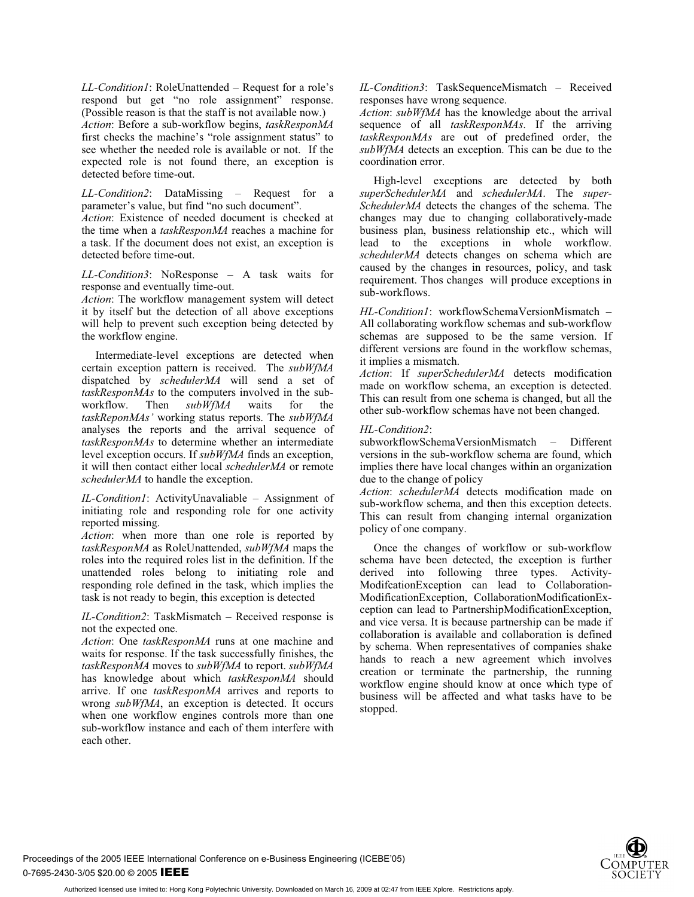*LL-Condition1*: RoleUnattended – Request for a role's respond but get "no role assignment" response. (Possible reason is that the staff is not available now.) *Action*: Before a sub-workflow begins, *taskResponMA* first checks the machine's "role assignment status" to see whether the needed role is available or not. If the expected role is not found there, an exception is detected before time-out.

*LL-Condition2*: DataMissing – Request for a parameter's value, but find "no such document".

*Action*: Existence of needed document is checked at the time when a *taskResponMA* reaches a machine for a task. If the document does not exist, an exception is detected before time-out.

*LL-Condition3*: NoResponse – A task waits for response and eventually time-out.

*Action*: The workflow management system will detect it by itself but the detection of all above exceptions will help to prevent such exception being detected by the workflow engine.

Intermediate-level exceptions are detected when certain exception pattern is received. The *subWfMA* dispatched by *schedulerMA* will send a set of *taskResponMAs* to the computers involved in the subworkflow. Then *subWfMA* waits for the *taskReponMAs'* working status reports. The *subWfMA* analyses the reports and the arrival sequence of *taskResponMAs* to determine whether an intermediate level exception occurs. If *subWfMA* finds an exception, it will then contact either local *schedulerMA* or remote *schedulerMA* to handle the exception.

*IL-Condition1*: ActivityUnavaliable – Assignment of initiating role and responding role for one activity reported missing.

*Action*: when more than one role is reported by *taskResponMA* as RoleUnattended, *subWfMA* maps the roles into the required roles list in the definition. If the unattended roles belong to initiating role and responding role defined in the task, which implies the task is not ready to begin, this exception is detected

*IL-Condition2*: TaskMismatch – Received response is not the expected one.

*Action*: One *taskResponMA* runs at one machine and waits for response. If the task successfully finishes, the *taskResponMA* moves to *subWfMA* to report. *subWfMA* has knowledge about which *taskResponMA* should arrive. If one *taskResponMA* arrives and reports to wrong *subWfMA*, an exception is detected. It occurs when one workflow engines controls more than one sub-workflow instance and each of them interfere with each other.

*IL-Condition3*: TaskSequenceMismatch – Received responses have wrong sequence.

*Action*: *subWfMA* has the knowledge about the arrival sequence of all *taskResponMAs*. If the arriving *taskResponMAs* are out of predefined order, the *subWfMA* detects an exception. This can be due to the coordination error.

High-level exceptions are detected by both *superSchedulerMA* and *schedulerMA*. The *super-SchedulerMA* detects the changes of the schema. The changes may due to changing collaboratively-made business plan, business relationship etc., which will lead to the exceptions in whole workflow. *schedulerMA* detects changes on schema which are caused by the changes in resources, policy, and task requirement. Thos changes will produce exceptions in sub-workflows.

*HL-Condition1*: workflowSchemaVersionMismatch – All collaborating workflow schemas and sub-workflow schemas are supposed to be the same version. If different versions are found in the workflow schemas, it implies a mismatch.

*Action*: If *superSchedulerMA* detects modification made on workflow schema, an exception is detected. This can result from one schema is changed, but all the other sub-workflow schemas have not been changed.

#### *HL-Condition2*:

subworkflowSchemaVersionMismatch – Different versions in the sub-workflow schema are found, which implies there have local changes within an organization due to the change of policy

*Action*: *schedulerMA* detects modification made on sub-workflow schema, and then this exception detects. This can result from changing internal organization policy of one company.

Once the changes of workflow or sub-workflow schema have been detected, the exception is further derived into following three types. Activity-ModifcationException can lead to Collaboration-ModificationException, CollaborationModificationException can lead to PartnershipModificationException, and vice versa. It is because partnership can be made if collaboration is available and collaboration is defined by schema. When representatives of companies shake hands to reach a new agreement which involves creation or terminate the partnership, the running workflow engine should know at once which type of business will be affected and what tasks have to be stopped.



Proceedings of the 2005 IEEE International Conference on e-Business Engineering (ICEBE'05) 0-7695-2430-3/05 \$20.00 © 2005 IEEE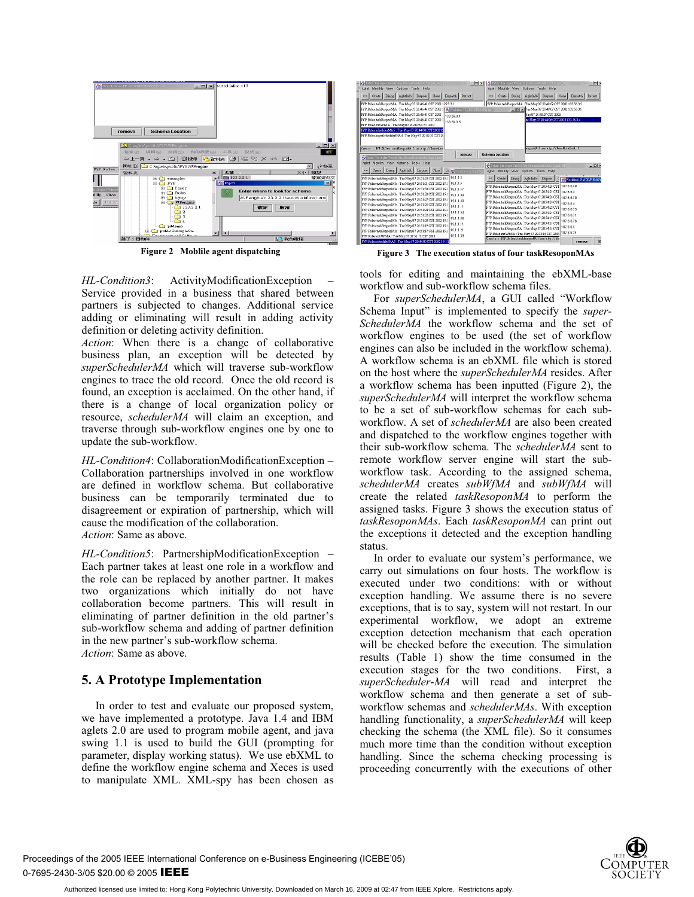

*HL-Condition3*: ActivityModificationException – Service provided in a business that shared between partners is subjected to changes. Additional service adding or eliminating will result in adding activity definition or deleting activity definition.

*Action*: When there is a change of collaborative business plan, an exception will be detected by *superSchedulerMA* which will traverse sub-workflow engines to trace the old record. Once the old record is found, an exception is acclaimed. On the other hand, if there is a change of local organization policy or resource, *schedulerMA* will claim an exception, and traverse through sub-workflow engines one by one to update the sub-workflow.

*HL-Condition4*: CollaborationModificationException – Collaboration partnerships involved in one workflow are defined in workflow schema. But collaborative business can be temporarily terminated due to disagreement or expiration of partnership, which will cause the modification of the collaboration. *Action*: Same as above.

*HL-Condition5*: PartnershipModificationException – Each partner takes at least one role in a workflow and the role can be replaced by another partner. It makes two organizations which initially do not have collaboration become partners. This will result in eliminating of partner definition in the old partner's sub-workflow schema and adding of partner definition in the new partner's sub-workflow schema. *Action*: Same as above.

## **5. A Prototype Implementation**

In order to test and evaluate our proposed system, we have implemented a prototype. Java 1.4 and IBM aglets 2.0 are used to program mobile agent, and java swing 1.1 is used to build the GUI (prompting for parameter, display working status). We use ebXML to define the workflow engine schema and Xeces is used to manipulate XML. XML-spy has been chosen as



Figure 2 Moblile agent dispatching **Figure 3 The execution status of four taskResoponMAs** 

tools for editing and maintaining the ebXML-base workflow and sub-workflow schema files.

For *superSchedulerMA*, a GUI called "Workflow Schema Input" is implemented to specify the *super-SchedulerMA* the workflow schema and the set of workflow engines to be used (the set of workflow engines can also be included in the workflow schema). A workflow schema is an ebXML file which is stored on the host where the *superSchedulerMA* resides. After a workflow schema has been inputted (Figure 2), the *superSchedulerMA* will interpret the workflow schema to be a set of sub-workflow schemas for each subworkflow. A set of *schedulerMA* are also been created and dispatched to the workflow engines together with their sub-workflow schema. The *schedulerMA* sent to remote workflow server engine will start the subworkflow task. According to the assigned schema, *schedulerMA* creates *subWfMA* and *subWfMA* will create the related *taskResoponMA* to perform the assigned tasks. Figure 3 shows the execution status of *taskResoponMAs*. Each *taskResoponMA* can print out the exceptions it detected and the exception handling status.

In order to evaluate our system's performance, we carry out simulations on four hosts. The workflow is executed under two conditions: with or without exception handling. We assume there is no severe exceptions, that is to say, system will not restart. In our experimental workflow, we adopt an extreme exception detection mechanism that each operation will be checked before the execution. The simulation results (Table 1) show the time consumed in the execution stages for the two conditions. First, a *superScheduler*-*MA* will read and interpret the workflow schema and then generate a set of subworkflow schemas and *schedulerMAs*. With exception handling functionality, a *superSchedulerMA* will keep checking the schema (the XML file). So it consumes much more time than the condition without exception handling. Since the schema checking processing is proceeding concurrently with the executions of other